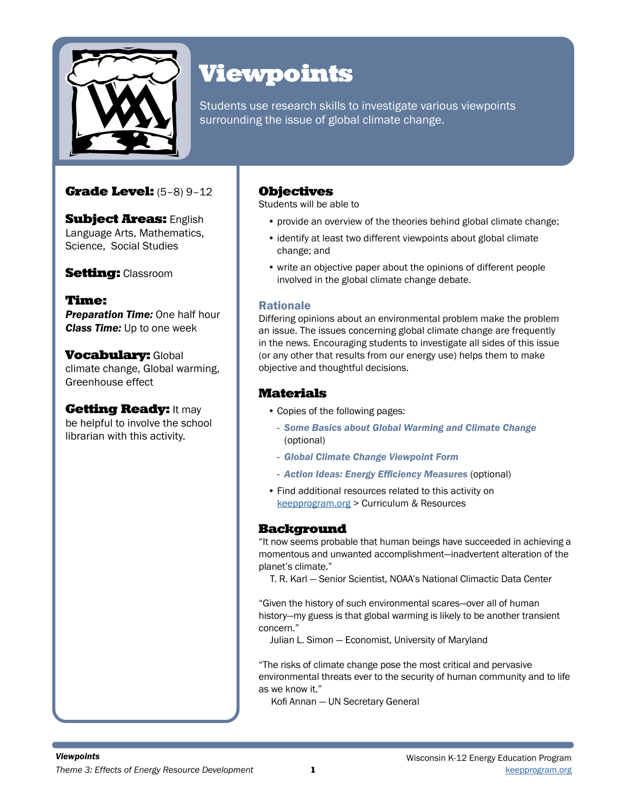

# Viewpoints

Students use research skills to investigate various viewpoints surrounding the issue of global climate change.

### Grade Level: (5–8) 9–12

**Subject Areas: English** Language Arts, Mathematics, Science, Social Studies

**Setting: Classroom** 

Time: **Preparation Time:** One half hour *Class Time:* Up to one week

**Vocabulary: Global** climate change, Global warming, Greenhouse effect

**Getting Ready: It may** be helpful to involve the school librarian with this activity.

### **Objectives**

Students will be able to

- provide an overview of the theories behind global climate change;
- identify at least two different viewpoints about global climate change; and
- write an objective paper about the opinions of different people involved in the global climate change debate.

#### Rationale

Differing opinions about an environmental problem make the problem an issue. The issues concerning global climate change are frequently in the news. Encouraging students to investigate all sides of this issue (or any other that results from our energy use) helps them to make objective and thoughtful decisions.

### Materials

- Copies of the following pages:
	- *Some Basics about Global Warming and Climate Change*  (optional)
	- *Global Climate Change Viewpoint Form*
	- *Action Ideas: Energy Efficiency Measures* (optional)
- Find additional resources related to this activity on keepprogram.org > Curriculum & Resources

#### Background

"It now seems probable that human beings have succeeded in achieving a momentous and unwanted accomplishment—inadvertent alteration of the planet's climate."

T. R. Karl — Senior Scientist, NOAA's National Climactic Data Center

"Given the history of such environmental scares—over all of human history—my guess is that global warming is likely to be another transient concern."

Julian L. Simon — Economist, University of Maryland

"The risks of climate change pose the most critical and pervasive environmental threats ever to the security of human community and to life as we know it."

Kofi Annan — UN Secretary General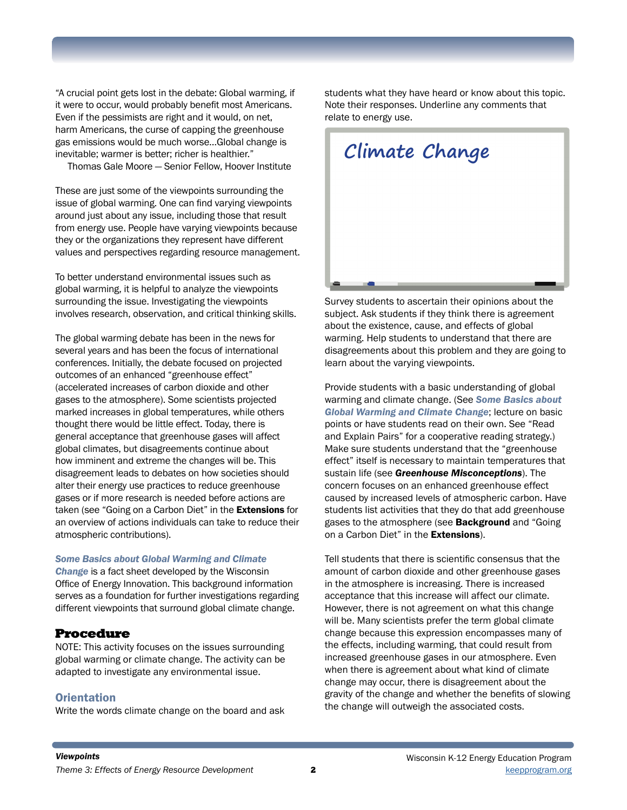"A crucial point gets lost in the debate: Global warming, if it were to occur, would probably benefit most Americans. Even if the pessimists are right and it would, on net, harm Americans, the curse of capping the greenhouse gas emissions would be much worse…Global change is inevitable; warmer is better; richer is healthier."

Thomas Gale Moore — Senior Fellow, Hoover Institute

These are just some of the viewpoints surrounding the issue of global warming. One can find varying viewpoints around just about any issue, including those that result from energy use. People have varying viewpoints because they or the organizations they represent have different values and perspectives regarding resource management.

To better understand environmental issues such as global warming, it is helpful to analyze the viewpoints surrounding the issue. Investigating the viewpoints involves research, observation, and critical thinking skills.

The global warming debate has been in the news for several years and has been the focus of international conferences. Initially, the debate focused on projected outcomes of an enhanced "greenhouse effect" (accelerated increases of carbon dioxide and other gases to the atmosphere). Some scientists projected marked increases in global temperatures, while others thought there would be little effect. Today, there is general acceptance that greenhouse gases will affect global climates, but disagreements continue about how imminent and extreme the changes will be. This disagreement leads to debates on how societies should alter their energy use practices to reduce greenhouse gases or if more research is needed before actions are taken (see "Going on a Carbon Diet" in the **Extensions** for an overview of actions individuals can take to reduce their atmospheric contributions).

#### *Some Basics about Global Warming and Climate*

*Change* is a fact sheet developed by the Wisconsin Office of Energy Innovation. This background information serves as a foundation for further investigations regarding different viewpoints that surround global climate change.

#### Procedure

NOTE: This activity focuses on the issues surrounding global warming or climate change. The activity can be adapted to investigate any environmental issue.

#### **Orientation**

Write the words climate change on the board and ask

students what they have heard or know about this topic. Note their responses. Underline any comments that relate to energy use.



Survey students to ascertain their opinions about the subject. Ask students if they think there is agreement about the existence, cause, and effects of global warming. Help students to understand that there are disagreements about this problem and they are going to learn about the varying viewpoints.

Provide students with a basic understanding of global warming and climate change. (See *Some Basics about Global Warming and Climate Change*; lecture on basic points or have students read on their own. See "Read and Explain Pairs" for a cooperative reading strategy.) Make sure students understand that the "greenhouse effect" itself is necessary to maintain temperatures that sustain life (see *Greenhouse Misconceptions*). The concern focuses on an enhanced greenhouse effect caused by increased levels of atmospheric carbon. Have students list activities that they do that add greenhouse gases to the atmosphere (see **Background** and "Going on a Carbon Diet" in the **Extensions**).

Tell students that there is scientific consensus that the amount of carbon dioxide and other greenhouse gases in the atmosphere is increasing. There is increased acceptance that this increase will affect our climate. However, there is not agreement on what this change will be. Many scientists prefer the term global climate change because this expression encompasses many of the effects, including warming, that could result from increased greenhouse gases in our atmosphere. Even when there is agreement about what kind of climate change may occur, there is disagreement about the gravity of the change and whether the benefits of slowing the change will outweigh the associated costs.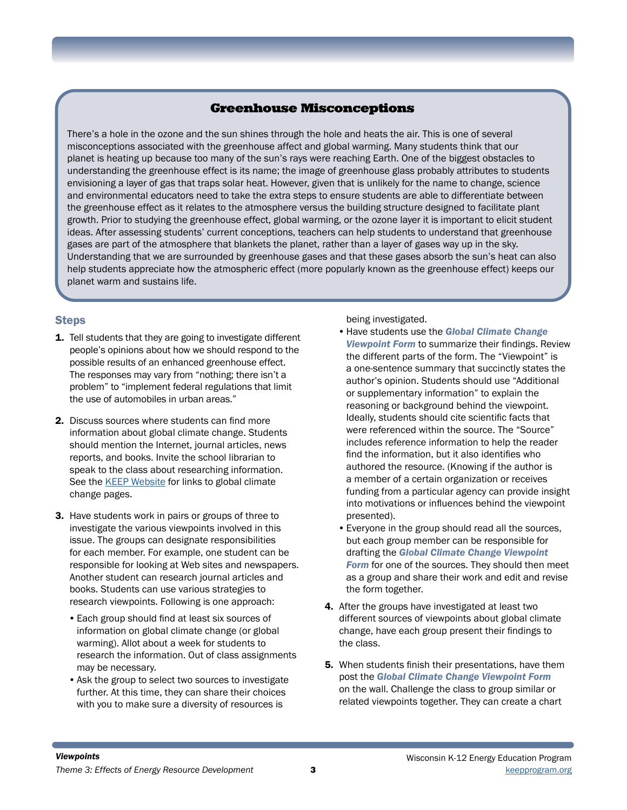### Greenhouse Misconceptions

There's a hole in the ozone and the sun shines through the hole and heats the air. This is one of several misconceptions associated with the greenhouse affect and global warming. Many students think that our planet is heating up because too many of the sun's rays were reaching Earth. One of the biggest obstacles to understanding the greenhouse effect is its name; the image of greenhouse glass probably attributes to students envisioning a layer of gas that traps solar heat. However, given that is unlikely for the name to change, science and environmental educators need to take the extra steps to ensure students are able to differentiate between the greenhouse effect as it relates to the atmosphere versus the building structure designed to facilitate plant growth. Prior to studying the greenhouse effect, global warming, or the ozone layer it is important to elicit student ideas. After assessing students' current conceptions, teachers can help students to understand that greenhouse gases are part of the atmosphere that blankets the planet, rather than a layer of gases way up in the sky. Understanding that we are surrounded by greenhouse gases and that these gases absorb the sun's heat can also help students appreciate how the atmospheric effect (more popularly known as the greenhouse effect) keeps our planet warm and sustains life.

#### Steps

- 1. Tell students that they are going to investigate different people's opinions about how we should respond to the possible results of an enhanced greenhouse effect. The responses may vary from "nothing; there isn't a problem" to "implement federal regulations that limit the use of automobiles in urban areas."
- 2. Discuss sources where students can find more information about global climate change. Students should mention the Internet, journal articles, news reports, and books. Invite the school librarian to speak to the class about researching information. See the **KEEP Website** for links to global climate change pages.
- 3. Have students work in pairs or groups of three to investigate the various viewpoints involved in this issue. The groups can designate responsibilities for each member. For example, one student can be responsible for looking at Web sites and newspapers. Another student can research journal articles and books. Students can use various strategies to research viewpoints. Following is one approach:
	- •Each group should find at least six sources of information on global climate change (or global warming). Allot about a week for students to research the information. Out of class assignments may be necessary.
	- •Ask the group to select two sources to investigate further. At this time, they can share their choices with you to make sure a diversity of resources is

being investigated.

- •Have students use the *Global Climate Change Viewpoint Form* to summarize their findings. Review the different parts of the form. The "Viewpoint" is a one-sentence summary that succinctly states the author's opinion. Students should use "Additional or supplementary information" to explain the reasoning or background behind the viewpoint. Ideally, students should cite scientific facts that were referenced within the source. The "Source" includes reference information to help the reader find the information, but it also identifies who authored the resource. (Knowing if the author is a member of a certain organization or receives funding from a particular agency can provide insight into motivations or influences behind the viewpoint presented).
- •Everyone in the group should read all the sources, but each group member can be responsible for drafting the *Global Climate Change Viewpoint Form* for one of the sources. They should then meet as a group and share their work and edit and revise the form together.
- 4. After the groups have investigated at least two different sources of viewpoints about global climate change, have each group present their findings to the class.
- **5.** When students finish their presentations, have them post the *Global Climate Change Viewpoint Form* on the wall. Challenge the class to group similar or related viewpoints together. They can create a chart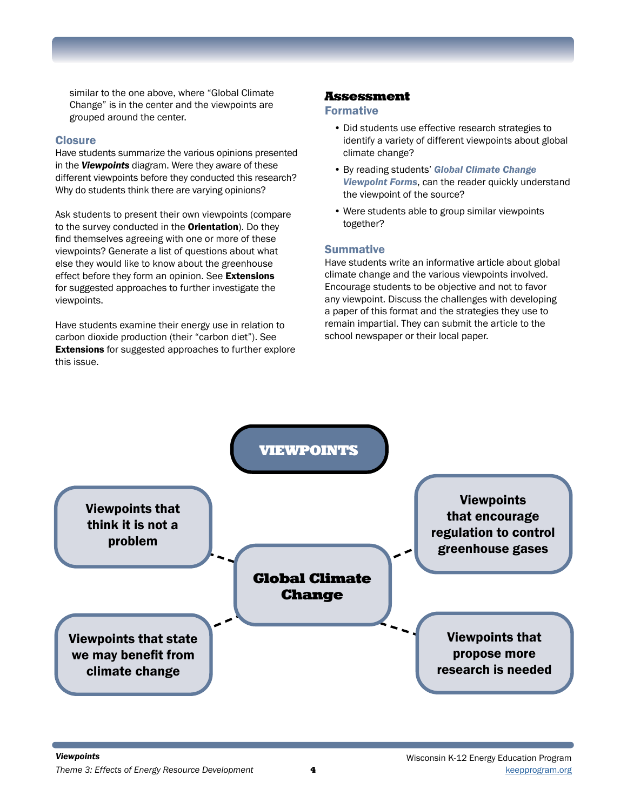similar to the one above, where "Global Climate Change" is in the center and the viewpoints are grouped around the center.

#### **Closure**

Have students summarize the various opinions presented in the *Viewpoints* diagram. Were they aware of these different viewpoints before they conducted this research? Why do students think there are varying opinions?

Ask students to present their own viewpoints (compare to the survey conducted in the **Orientation**). Do they find themselves agreeing with one or more of these viewpoints? Generate a list of questions about what else they would like to know about the greenhouse effect before they form an opinion. See Extensions for suggested approaches to further investigate the viewpoints.

Have students examine their energy use in relation to carbon dioxide production (their "carbon diet"). See **Extensions** for suggested approaches to further explore this issue.

#### Assessment

#### Formative

- Did students use effective research strategies to identify a variety of different viewpoints about global climate change?
- By reading students' *Global Climate Change Viewpoint Forms*, can the reader quickly understand the viewpoint of the source?
- Were students able to group similar viewpoints together?

#### **Summative**

Have students write an informative article about global climate change and the various viewpoints involved. Encourage students to be objective and not to favor any viewpoint. Discuss the challenges with developing a paper of this format and the strategies they use to remain impartial. They can submit the article to the school newspaper or their local paper.

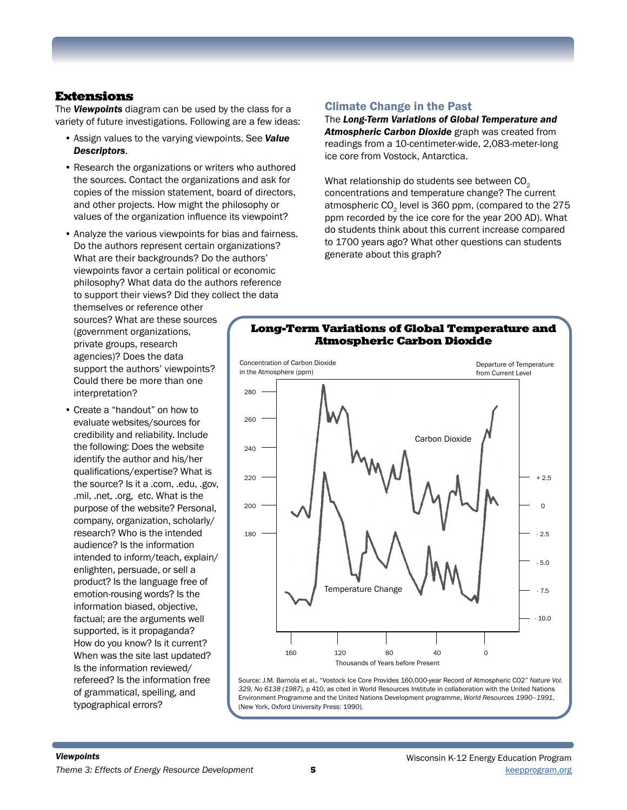#### Extensions

The *Viewpoints* diagram can be used by the class for a variety of future investigations. Following are a few ideas:

- Assign values to the varying viewpoints. See *Value Descriptors*.
- Research the organizations or writers who authored the sources. Contact the organizations and ask for copies of the mission statement, board of directors, and other projects. How might the philosophy or values of the organization influence its viewpoint?
- Analyze the various viewpoints for bias and fairness. Do the authors represent certain organizations? What are their backgrounds? Do the authors' viewpoints favor a certain political or economic philosophy? What data do the authors reference to support their views? Did they collect the data

themselves or reference other sources? What are these sources (government organizations, private groups, research agencies)? Does the data support the authors' viewpoints? Could there be more than one interpretation?

• Create a "handout" on how to evaluate websites/sources for credibility and reliability. Include the following: Does the website identify the author and his/her qualifications/expertise? What is the source? Is it a .com, .edu, .gov, .mil, .net, .org, etc. What is the purpose of the website? Personal, company, organization, scholarly/ research? Who is the intended audience? Is the information intended to inform/teach, explain/ enlighten, persuade, or sell a product? Is the language free of emotion-rousing words? Is the information biased, objective, factual; are the arguments well supported, is it propaganda? How do you know? Is it current? When was the site last updated? Is the information reviewed/ refereed? Is the information free of grammatical, spelling, and typographical errors?

#### Climate Change in the Past

The *Long-Term Variations of Global Temperature and Atmospheric Carbon Dioxide* graph was created from readings from a 10-centimeter-wide, 2,083-meter-long ice core from Vostock, Antarctica.

What relationship do students see between CO<sub>2</sub> concentrations and temperature change? The current atmospheric CO<sub>2</sub> level is 360 ppm, (compared to the 275 ppm recorded by the ice core for the year 200 AD). What do students think about this current increase compared to 1700 years ago? What other questions can students generate about this graph?



#### Long-Term Variations of Global Temperature and Atmospheric Carbon Dioxide

Source: J.M. Barnola et al., "Vostock Ice Core Provides 160,000-year Record of Atmospheric CO2" *Nature Vol. 329, No 6138 (1987),* p 410, as cited in World Resources Institute in collaboration with the United Nations Environment Programme and the United Nations Development programme, *World Resources 1990–1991*, (New York, Oxford University Press: 1990).

160 120 80 40 0

Thousands of Years before Present

Temperature Change

- 7.5

- 10.0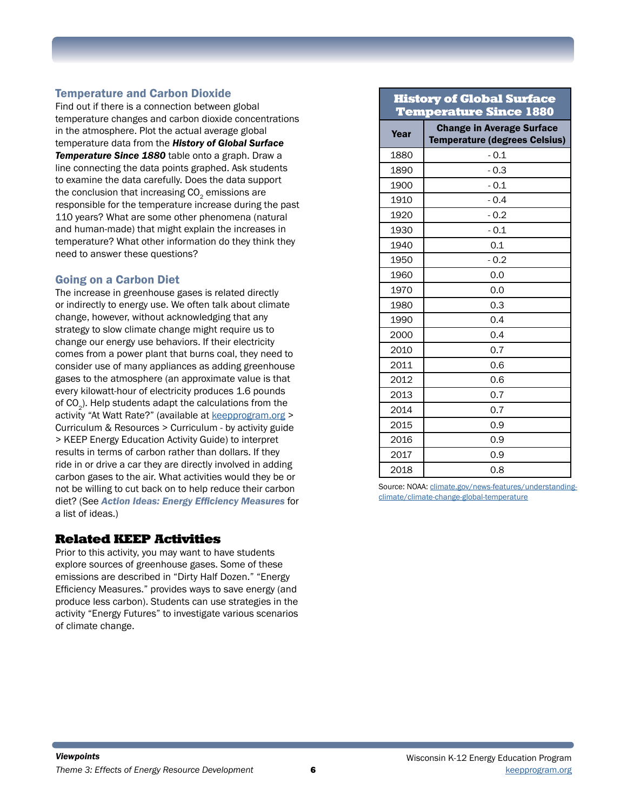### Temperature and Carbon Dioxide

Find out if there is a connection between global temperature changes and carbon dioxide concentrations in the atmosphere. Plot the actual average global temperature data from the *History of Global Surface Temperature Since 1880* table onto a graph. Draw a line connecting the data points graphed. Ask students to examine the data carefully. Does the data support the conclusion that increasing  $CO<sub>2</sub>$  emissions are responsible for the temperature increase during the past 110 years? What are some other phenomena (natural and human-made) that might explain the increases in temperature? What other information do they think they need to answer these questions?

#### Going on a Carbon Diet

The increase in greenhouse gases is related directly or indirectly to energy use. We often talk about climate change, however, without acknowledging that any strategy to slow climate change might require us to change our energy use behaviors. If their electricity comes from a power plant that burns coal, they need to consider use of many appliances as adding greenhouse gases to the atmosphere (an approximate value is that every kilowatt-hour of electricity produces 1.6 pounds of  $CO<sub>2</sub>$ ). Help students adapt the calculations from the activity "At Watt Rate?" (available at [keepprogram.org](http://keepprogram.org) > Curriculum & Resources > Curriculum - by activity guide > KEEP Energy Education Activity Guide) to interpret results in terms of carbon rather than dollars. If they ride in or drive a car they are directly involved in adding carbon gases to the air. What activities would they be or not be willing to cut back on to help reduce their carbon diet? (See *Action Ideas: Energy Efficiency Measures* for a list of ideas.)

#### Related KEEP Activities

Prior to this activity, you may want to have students explore sources of greenhouse gases. Some of these emissions are described in "Dirty Half Dozen." "Energy Efficiency Measures." provides ways to save energy (and produce less carbon). Students can use strategies in the activity "Energy Futures" to investigate various scenarios of climate change.

#### History of Global Surface Temperature Since 1880

| <b>Change in Average Surface</b><br>Year<br>1880<br>$-0.1$<br>1890<br>$-0.3$<br>1900<br>$-0.1$<br>1910<br>$-0.4$<br>1920<br>$-0.2$<br>1930<br>$-0.1$<br>1940<br>0.1<br>$-0.2$<br>1950<br>1960<br>0.0<br>1970<br>0.0<br>0.3<br>1980<br>0.4<br>1990<br>0.4<br>2000<br>2010<br>0.7<br>0.6<br>2011<br>2012<br>0.6<br>2013<br>0.7<br>2014<br>0.7<br>2015<br>0.9<br>2016<br>0.9<br>2017<br>0.9 |      |                               |  |
|------------------------------------------------------------------------------------------------------------------------------------------------------------------------------------------------------------------------------------------------------------------------------------------------------------------------------------------------------------------------------------------|------|-------------------------------|--|
|                                                                                                                                                                                                                                                                                                                                                                                          |      | Temperature (degrees Celsius) |  |
|                                                                                                                                                                                                                                                                                                                                                                                          |      |                               |  |
|                                                                                                                                                                                                                                                                                                                                                                                          |      |                               |  |
|                                                                                                                                                                                                                                                                                                                                                                                          |      |                               |  |
|                                                                                                                                                                                                                                                                                                                                                                                          |      |                               |  |
|                                                                                                                                                                                                                                                                                                                                                                                          |      |                               |  |
|                                                                                                                                                                                                                                                                                                                                                                                          |      |                               |  |
|                                                                                                                                                                                                                                                                                                                                                                                          |      |                               |  |
|                                                                                                                                                                                                                                                                                                                                                                                          |      |                               |  |
|                                                                                                                                                                                                                                                                                                                                                                                          |      |                               |  |
|                                                                                                                                                                                                                                                                                                                                                                                          |      |                               |  |
|                                                                                                                                                                                                                                                                                                                                                                                          |      |                               |  |
|                                                                                                                                                                                                                                                                                                                                                                                          |      |                               |  |
|                                                                                                                                                                                                                                                                                                                                                                                          |      |                               |  |
|                                                                                                                                                                                                                                                                                                                                                                                          |      |                               |  |
|                                                                                                                                                                                                                                                                                                                                                                                          |      |                               |  |
|                                                                                                                                                                                                                                                                                                                                                                                          |      |                               |  |
|                                                                                                                                                                                                                                                                                                                                                                                          |      |                               |  |
|                                                                                                                                                                                                                                                                                                                                                                                          |      |                               |  |
|                                                                                                                                                                                                                                                                                                                                                                                          |      |                               |  |
|                                                                                                                                                                                                                                                                                                                                                                                          |      |                               |  |
|                                                                                                                                                                                                                                                                                                                                                                                          |      |                               |  |
|                                                                                                                                                                                                                                                                                                                                                                                          | 2018 | 0.8                           |  |

Source: NOAA: [climate.gov/news-features/understanding](http://climate.gov/news-features/understanding-climate/climate-change-global-temperature)[climate/climate-change-global-temperature](http://climate.gov/news-features/understanding-climate/climate-change-global-temperature)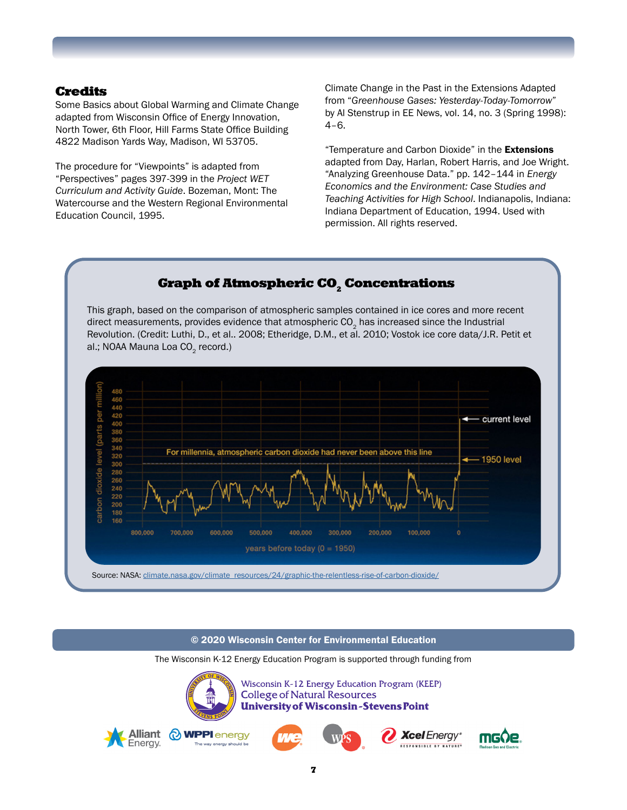#### Credits

Some Basics about Global Warming and Climate Change adapted from Wisconsin Office of Energy Innovation, North Tower, 6th Floor, Hill Farms State Office Building 4822 Madison Yards Way, Madison, WI 53705.

The procedure for "Viewpoints" is adapted from "Perspectives" pages 397-399 in the *Project WET Curriculum and Activity Guide*. Bozeman, Mont: The Watercourse and the Western Regional Environmental Education Council, 1995.

Climate Change in the Past in the Extensions Adapted from "*Greenhouse Gases: Yesterday-Today-Tomorrow*" by Al Stenstrup in EE News, vol. 14, no. 3 (Spring 1998): 4–6.

"Temperature and Carbon Dioxide" in the Extensions adapted from Day, Harlan, Robert Harris, and Joe Wright. "Analyzing Greenhouse Data." pp. 142–144 in *Energy Economics and the Environment: Case Studies and Teaching Activities for High School*. Indianapolis, Indiana: Indiana Department of Education, 1994. Used with permission. All rights reserved.



© 2020 Wisconsin Center for Environmental Education

The Wisconsin K-12 Energy Education Program is supported through funding from

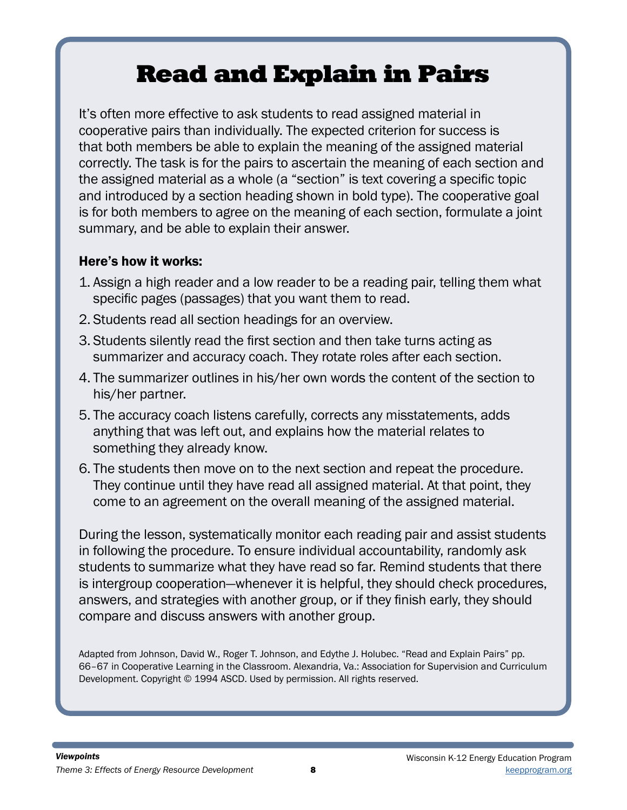# Read and Explain in Pairs

It's often more effective to ask students to read assigned material in cooperative pairs than individually. The expected criterion for success is that both members be able to explain the meaning of the assigned material correctly. The task is for the pairs to ascertain the meaning of each section and the assigned material as a whole (a "section" is text covering a specific topic and introduced by a section heading shown in bold type). The cooperative goal is for both members to agree on the meaning of each section, formulate a joint summary, and be able to explain their answer.

### Here's how it works:

- 1. Assign a high reader and a low reader to be a reading pair, telling them what specific pages (passages) that you want them to read.
- 2. Students read all section headings for an overview.
- 3. Students silently read the first section and then take turns acting as summarizer and accuracy coach. They rotate roles after each section.
- 4. The summarizer outlines in his/her own words the content of the section to his/her partner.
- 5. The accuracy coach listens carefully, corrects any misstatements, adds anything that was left out, and explains how the material relates to something they already know.
- 6. The students then move on to the next section and repeat the procedure. They continue until they have read all assigned material. At that point, they come to an agreement on the overall meaning of the assigned material.

During the lesson, systematically monitor each reading pair and assist students in following the procedure. To ensure individual accountability, randomly ask students to summarize what they have read so far. Remind students that there is intergroup cooperation—whenever it is helpful, they should check procedures, answers, and strategies with another group, or if they finish early, they should compare and discuss answers with another group.

Adapted from Johnson, David W., Roger T. Johnson, and Edythe J. Holubec. "Read and Explain Pairs" pp. 66–67 in Cooperative Learning in the Classroom. Alexandria, Va.: Association for Supervision and Curriculum Development. Copyright © 1994 ASCD. Used by permission. All rights reserved.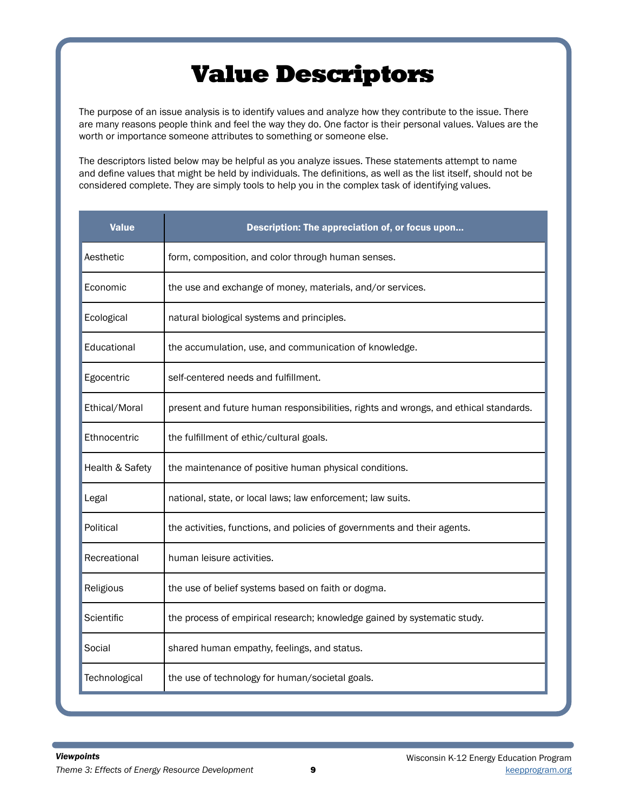# Value Descriptors

The purpose of an issue analysis is to identify values and analyze how they contribute to the issue. There are many reasons people think and feel the way they do. One factor is their personal values. Values are the worth or importance someone attributes to something or someone else.

The descriptors listed below may be helpful as you analyze issues. These statements attempt to name and define values that might be held by individuals. The definitions, as well as the list itself, should not be considered complete. They are simply tools to help you in the complex task of identifying values.

| <b>Value</b>    | Description: The appreciation of, or focus upon                                      |
|-----------------|--------------------------------------------------------------------------------------|
| Aesthetic       | form, composition, and color through human senses.                                   |
| Economic        | the use and exchange of money, materials, and/or services.                           |
| Ecological      | natural biological systems and principles.                                           |
| Educational     | the accumulation, use, and communication of knowledge.                               |
| Egocentric      | self-centered needs and fulfillment.                                                 |
| Ethical/Moral   | present and future human responsibilities, rights and wrongs, and ethical standards. |
| Ethnocentric    | the fulfillment of ethic/cultural goals.                                             |
| Health & Safety | the maintenance of positive human physical conditions.                               |
| Legal           | national, state, or local laws; law enforcement; law suits.                          |
| Political       | the activities, functions, and policies of governments and their agents.             |
| Recreational    | human leisure activities.                                                            |
| Religious       | the use of belief systems based on faith or dogma.                                   |
| Scientific      | the process of empirical research; knowledge gained by systematic study.             |
| Social          | shared human empathy, feelings, and status.                                          |
| Technological   | the use of technology for human/societal goals.                                      |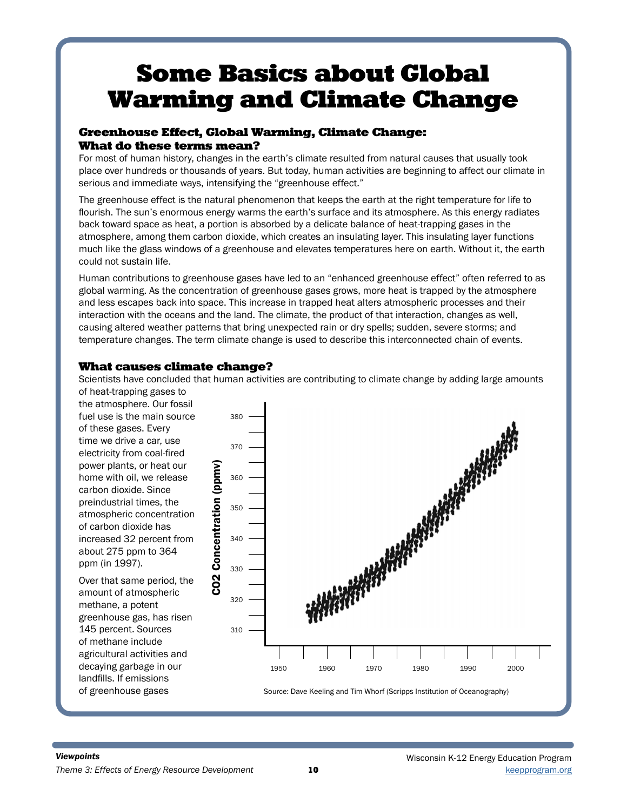# Some Basics about Global Warming and Climate Change

#### Greenhouse Effect, Global Warming, Climate Change: What do these terms mean?

For most of human history, changes in the earth's climate resulted from natural causes that usually took place over hundreds or thousands of years. But today, human activities are beginning to affect our climate in serious and immediate ways, intensifying the "greenhouse effect."

The greenhouse effect is the natural phenomenon that keeps the earth at the right temperature for life to flourish. The sun's enormous energy warms the earth's surface and its atmosphere. As this energy radiates back toward space as heat, a portion is absorbed by a delicate balance of heat-trapping gases in the atmosphere, among them carbon dioxide, which creates an insulating layer. This insulating layer functions much like the glass windows of a greenhouse and elevates temperatures here on earth. Without it, the earth could not sustain life.

Human contributions to greenhouse gases have led to an "enhanced greenhouse effect" often referred to as global warming. As the concentration of greenhouse gases grows, more heat is trapped by the atmosphere and less escapes back into space. This increase in trapped heat alters atmospheric processes and their interaction with the oceans and the land. The climate, the product of that interaction, changes as well, causing altered weather patterns that bring unexpected rain or dry spells; sudden, severe storms; and temperature changes. The term climate change is used to describe this interconnected chain of events.

### What causes climate change?

Scientists have concluded that human activities are contributing to climate change by adding large amounts of heat-trapping gases to

the atmosphere. Our fossil fuel use is the main source 380 of these gases. Every time we drive a car, use 370 electricity from coal-fired power plants, or heat our Concentration (ppmv) CO2 Concentration (ppmv)home with oil, we release 360 carbon dioxide. Since preindustrial times, the 350 atmospheric concentration of carbon dioxide has increased 32 percent from 340 about 275 ppm to 364 ppm (in 1997). 330 **CO2** Over that same period, the amount of atmospheric 320 methane, a potent greenhouse gas, has risen 145 percent. Sources 310 of methane include agricultural activities and decaying garbage in our 1950 1960 1970 1980 1990 2000 landfills. If emissions of greenhouse gases Source: Dave Keeling and Tim Whorf (Scripps Institution of Oceanography)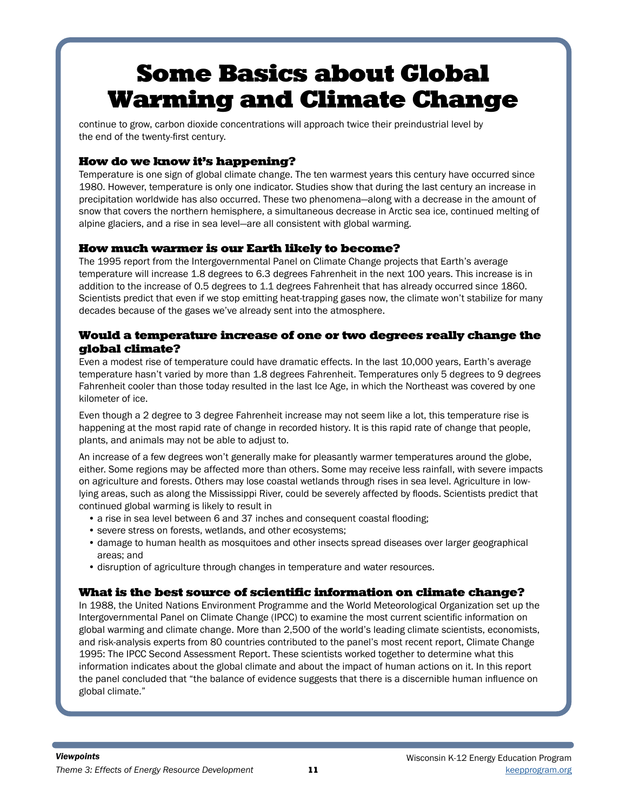# Some Basics about Global Warming and Climate Change

continue to grow, carbon dioxide concentrations will approach twice their preindustrial level by the end of the twenty-first century.

### How do we know it's happening?

Temperature is one sign of global climate change. The ten warmest years this century have occurred since 1980. However, temperature is only one indicator. Studies show that during the last century an increase in precipitation worldwide has also occurred. These two phenomena—along with a decrease in the amount of snow that covers the northern hemisphere, a simultaneous decrease in Arctic sea ice, continued melting of alpine glaciers, and a rise in sea level—are all consistent with global warming.

### How much warmer is our Earth likely to become?

The 1995 report from the Intergovernmental Panel on Climate Change projects that Earth's average temperature will increase 1.8 degrees to 6.3 degrees Fahrenheit in the next 100 years. This increase is in addition to the increase of 0.5 degrees to 1.1 degrees Fahrenheit that has already occurred since 1860. Scientists predict that even if we stop emitting heat-trapping gases now, the climate won't stabilize for many decades because of the gases we've already sent into the atmosphere.

#### Would a temperature increase of one or two degrees really change the global climate?

Even a modest rise of temperature could have dramatic effects. In the last 10,000 years, Earth's average temperature hasn't varied by more than 1.8 degrees Fahrenheit. Temperatures only 5 degrees to 9 degrees Fahrenheit cooler than those today resulted in the last Ice Age, in which the Northeast was covered by one kilometer of ice.

Even though a 2 degree to 3 degree Fahrenheit increase may not seem like a lot, this temperature rise is happening at the most rapid rate of change in recorded history. It is this rapid rate of change that people, plants, and animals may not be able to adjust to.

An increase of a few degrees won't generally make for pleasantly warmer temperatures around the globe, either. Some regions may be affected more than others. Some may receive less rainfall, with severe impacts on agriculture and forests. Others may lose coastal wetlands through rises in sea level. Agriculture in lowlying areas, such as along the Mississippi River, could be severely affected by floods. Scientists predict that continued global warming is likely to result in

- a rise in sea level between 6 and 37 inches and consequent coastal flooding;
- severe stress on forests, wetlands, and other ecosystems;
- damage to human health as mosquitoes and other insects spread diseases over larger geographical areas; and
- disruption of agriculture through changes in temperature and water resources.

#### What is the best source of scientific information on climate change?

In 1988, the United Nations Environment Programme and the World Meteorological Organization set up the Intergovernmental Panel on Climate Change (IPCC) to examine the most current scientific information on global warming and climate change. More than 2,500 of the world's leading climate scientists, economists, and risk-analysis experts from 80 countries contributed to the panel's most recent report, Climate Change 1995: The IPCC Second Assessment Report. These scientists worked together to determine what this information indicates about the global climate and about the impact of human actions on it. In this report the panel concluded that "the balance of evidence suggests that there is a discernible human influence on global climate."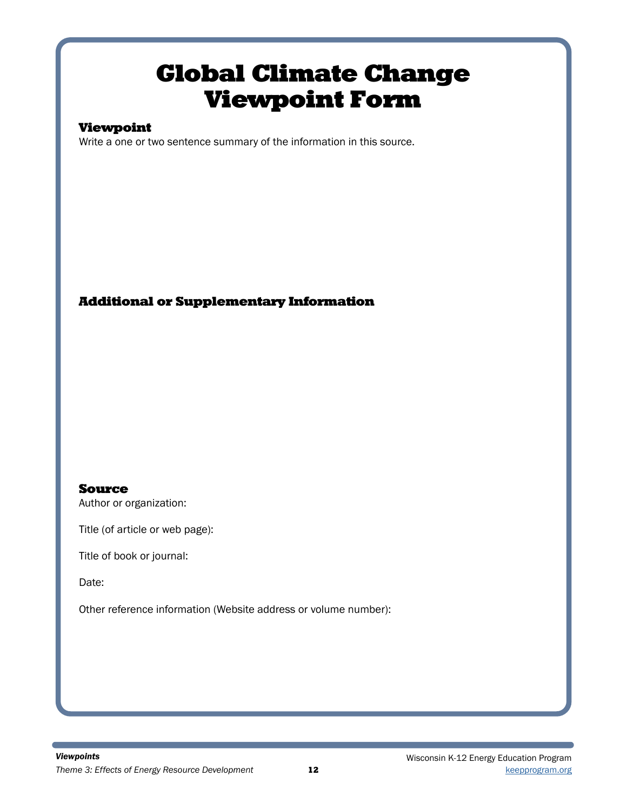## Global Climate Change Viewpoint Form

### Viewpoint

Write a one or two sentence summary of the information in this source.

### Additional or Supplementary Information

### Source

Author or organization:

Title (of article or web page):

Title of book or journal:

Date:

Other reference information (Website address or volume number):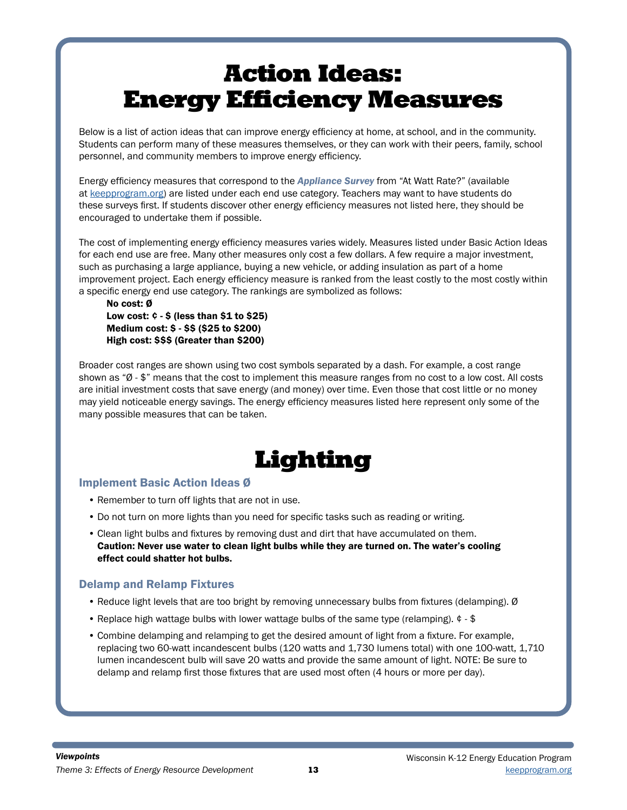Below is a list of action ideas that can improve energy efficiency at home, at school, and in the community. Students can perform many of these measures themselves, or they can work with their peers, family, school personnel, and community members to improve energy efficiency.

Energy efficiency measures that correspond to the *Appliance Survey* from "At Watt Rate?" (available at [keepprogram.org\)](https://www.uwsp.edu/cnr-ap/KEEP/Documents/Activities/AtWattRate.pdf) are listed under each end use category. Teachers may want to have students do these surveys first. If students discover other energy efficiency measures not listed here, they should be encouraged to undertake them if possible.

The cost of implementing energy efficiency measures varies widely. Measures listed under Basic Action Ideas for each end use are free. Many other measures only cost a few dollars. A few require a major investment, such as purchasing a large appliance, buying a new vehicle, or adding insulation as part of a home improvement project. Each energy efficiency measure is ranked from the least costly to the most costly within a specific energy end use category. The rankings are symbolized as follows:

No cost: Ø Low cost:  $\phi$  -  $\phi$  (less than  $\$1$  to  $\$25$ ) Medium cost: \$ - \$\$ (\$25 to \$200) High cost: \$\$\$ (Greater than \$200)

Broader cost ranges are shown using two cost symbols separated by a dash. For example, a cost range shown as "Ø - \$" means that the cost to implement this measure ranges from no cost to a low cost. All costs are initial investment costs that save energy (and money) over time. Even those that cost little or no money may yield noticeable energy savings. The energy efficiency measures listed here represent only some of the many possible measures that can be taken.

## Lighting

#### Implement Basic Action Ideas Ø

- Remember to turn off lights that are not in use.
- Do not turn on more lights than you need for specific tasks such as reading or writing.
- Clean light bulbs and fixtures by removing dust and dirt that have accumulated on them. Caution: Never use water to clean light bulbs while they are turned on. The water's cooling effect could shatter hot bulbs.

#### Delamp and Relamp Fixtures

- Reduce light levels that are too bright by removing unnecessary bulbs from fixtures (delamping). Ø
- Replace high wattage bulbs with lower wattage bulbs of the same type (relamping). ¢ \$
- Combine delamping and relamping to get the desired amount of light from a fixture. For example, replacing two 60-watt incandescent bulbs (120 watts and 1,730 lumens total) with one 100-watt, 1,710 lumen incandescent bulb will save 20 watts and provide the same amount of light. NOTE: Be sure to delamp and relamp first those fixtures that are used most often (4 hours or more per day).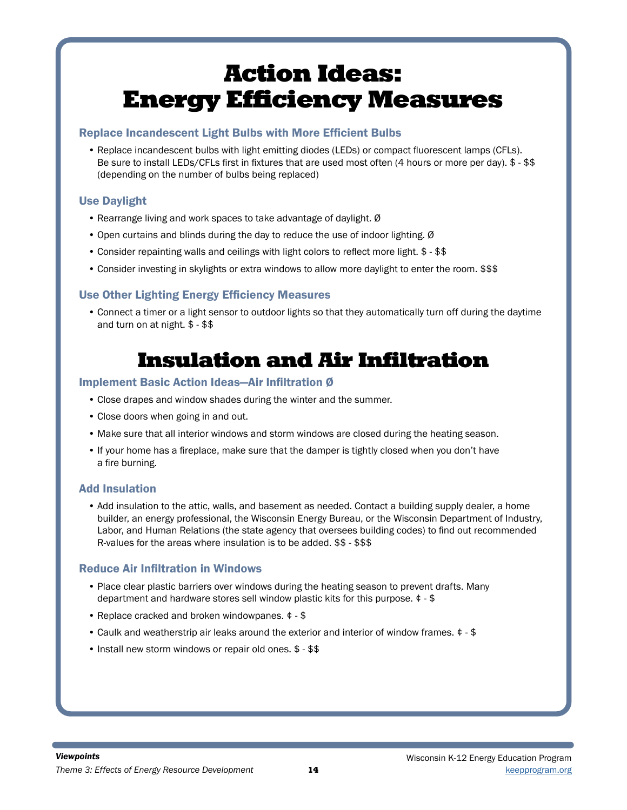#### Replace Incandescent Light Bulbs with More Efficient Bulbs

• Replace incandescent bulbs with light emitting diodes (LEDs) or compact fluorescent lamps (CFLs). Be sure to install LEDs/CFLs first in fixtures that are used most often (4 hours or more per day). \$ - \$\$ (depending on the number of bulbs being replaced)

### Use Daylight

- Rearrange living and work spaces to take advantage of daylight. Ø
- Open curtains and blinds during the day to reduce the use of indoor lighting. Ø
- Consider repainting walls and ceilings with light colors to reflect more light. \$ \$\$
- Consider investing in skylights or extra windows to allow more daylight to enter the room. \$\$\$

### Use Other Lighting Energy Efficiency Measures

• Connect a timer or a light sensor to outdoor lights so that they automatically turn off during the daytime and turn on at night. \$ - \$\$

### Insulation and Air Infiltration

#### Implement Basic Action Ideas—Air Infiltration Ø

- Close drapes and window shades during the winter and the summer.
- Close doors when going in and out.
- Make sure that all interior windows and storm windows are closed during the heating season.
- If your home has a fireplace, make sure that the damper is tightly closed when you don't have a fire burning.

#### Add Insulation

• Add insulation to the attic, walls, and basement as needed. Contact a building supply dealer, a home builder, an energy professional, the Wisconsin Energy Bureau, or the Wisconsin Department of Industry, Labor, and Human Relations (the state agency that oversees building codes) to find out recommended R-values for the areas where insulation is to be added. \$\$ - \$\$\$

#### Reduce Air Infiltration in Windows

- Place clear plastic barriers over windows during the heating season to prevent drafts. Many department and hardware stores sell window plastic kits for this purpose. ¢ - \$
- Replace cracked and broken windowpanes. ¢ \$
- Caulk and weatherstrip air leaks around the exterior and interior of window frames. ¢ \$
- Install new storm windows or repair old ones. \$ \$\$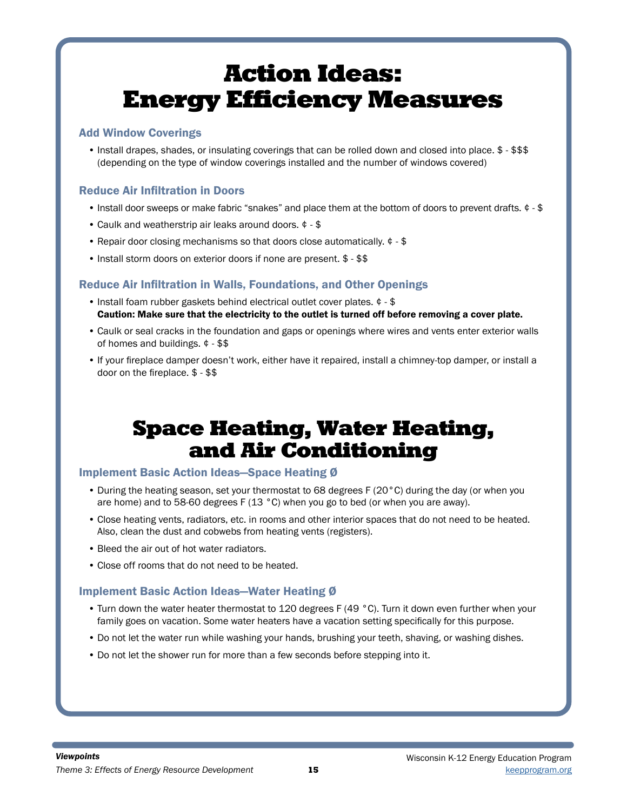#### Add Window Coverings

• Install drapes, shades, or insulating coverings that can be rolled down and closed into place. \$ - \$\$\$ (depending on the type of window coverings installed and the number of windows covered)

#### Reduce Air Infiltration in Doors

- Install door sweeps or make fabric "snakes" and place them at the bottom of doors to prevent drafts. ¢ \$
- Caulk and weatherstrip air leaks around doors. ¢ \$
- Repair door closing mechanisms so that doors close automatically. ¢ \$
- Install storm doors on exterior doors if none are present. \$ \$\$

#### Reduce Air Infiltration in Walls, Foundations, and Other Openings

- Install foam rubber gaskets behind electrical outlet cover plates. ¢ \$ Caution: Make sure that the electricity to the outlet is turned off before removing a cover plate.
- Caulk or seal cracks in the foundation and gaps or openings where wires and vents enter exterior walls of homes and buildings. ¢ - \$\$
- If your fireplace damper doesn't work, either have it repaired, install a chimney-top damper, or install a door on the fireplace. \$ - \$\$

### Space Heating, Water Heating, and Air Conditioning

#### Implement Basic Action Ideas—Space Heating Ø

- During the heating season, set your thermostat to 68 degrees F (20°C) during the day (or when you are home) and to 58-60 degrees F (13 °C) when you go to bed (or when you are away).
- Close heating vents, radiators, etc. in rooms and other interior spaces that do not need to be heated. Also, clean the dust and cobwebs from heating vents (registers).
- Bleed the air out of hot water radiators.
- Close off rooms that do not need to be heated.

#### Implement Basic Action Ideas—Water Heating Ø

- Turn down the water heater thermostat to 120 degrees F (49 °C). Turn it down even further when your family goes on vacation. Some water heaters have a vacation setting specifically for this purpose.
- Do not let the water run while washing your hands, brushing your teeth, shaving, or washing dishes.
- Do not let the shower run for more than a few seconds before stepping into it.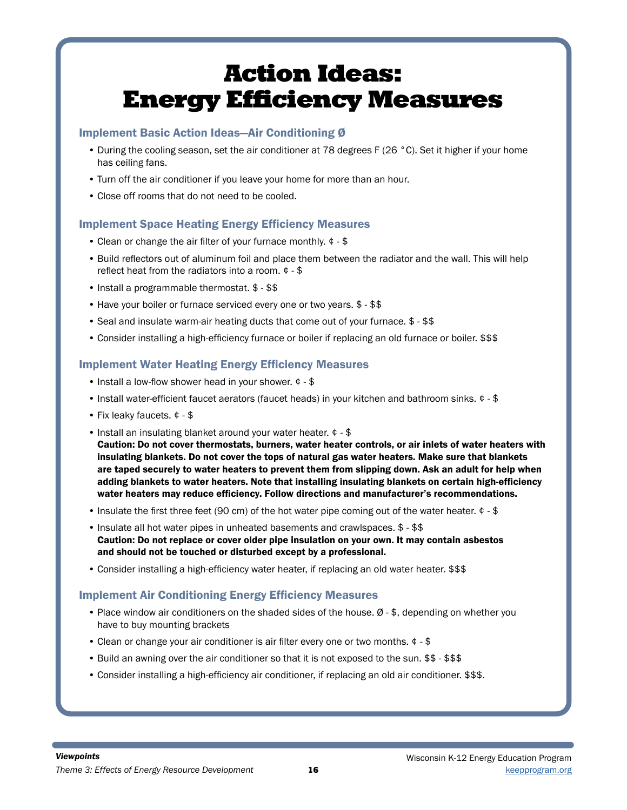#### Implement Basic Action Ideas—Air Conditioning Ø

- During the cooling season, set the air conditioner at 78 degrees F (26 °C). Set it higher if your home has ceiling fans.
- Turn off the air conditioner if you leave your home for more than an hour.
- Close off rooms that do not need to be cooled.

#### Implement Space Heating Energy Efficiency Measures

- Clean or change the air filter of your furnace monthly. ¢ \$
- Build reflectors out of aluminum foil and place them between the radiator and the wall. This will help reflect heat from the radiators into a room. ¢ - \$
- Install a programmable thermostat. \$ \$\$
- Have your boiler or furnace serviced every one or two years. \$ \$\$
- Seal and insulate warm-air heating ducts that come out of your furnace. \$ \$\$
- Consider installing a high-efficiency furnace or boiler if replacing an old furnace or boiler. \$\$\$

#### Implement Water Heating Energy Efficiency Measures

- Install a low-flow shower head in your shower. ¢ \$
- Install water-efficient faucet aerators (faucet heads) in your kitchen and bathroom sinks. ¢ \$
- Fix leaky faucets. ¢ \$
- Install an insulating blanket around your water heater. ¢ \$ Caution: Do not cover thermostats, burners, water heater controls, or air inlets of water heaters with insulating blankets. Do not cover the tops of natural gas water heaters. Make sure that blankets are taped securely to water heaters to prevent them from slipping down. Ask an adult for help when adding blankets to water heaters. Note that installing insulating blankets on certain high-efficiency water heaters may reduce efficiency. Follow directions and manufacturer's recommendations.
- Insulate the first three feet (90 cm) of the hot water pipe coming out of the water heater.  $\phi$  \$
- Insulate all hot water pipes in unheated basements and crawlspaces. \$ \$\$ Caution: Do not replace or cover older pipe insulation on your own. It may contain asbestos and should not be touched or disturbed except by a professional.
- Consider installing a high-efficiency water heater, if replacing an old water heater. \$\$\$

### Implement Air Conditioning Energy Efficiency Measures

- Place window air conditioners on the shaded sides of the house. Ø \$, depending on whether you have to buy mounting brackets
- Clean or change your air conditioner is air filter every one or two months. ¢ \$
- Build an awning over the air conditioner so that it is not exposed to the sun. \$\$ \$\$\$
- Consider installing a high-efficiency air conditioner, if replacing an old air conditioner. \$\$\$.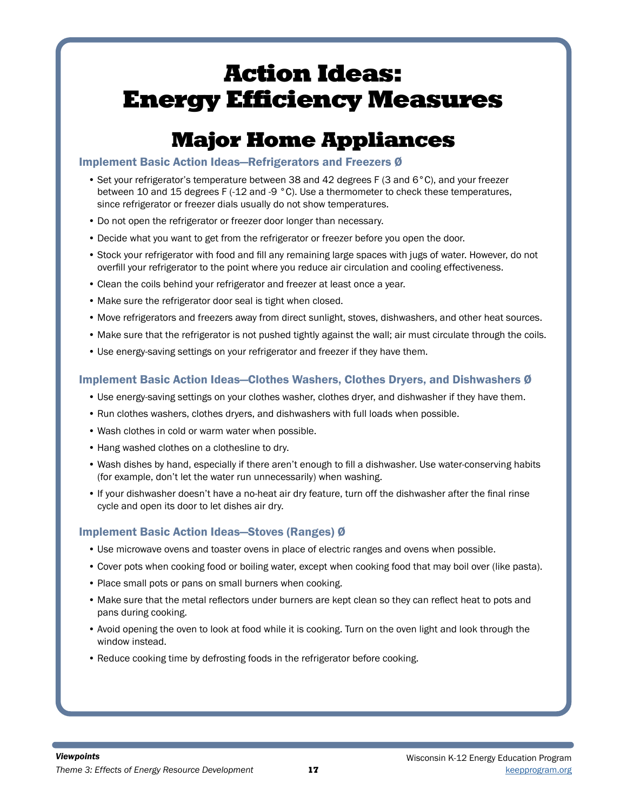## Major Home Appliances

#### Implement Basic Action Ideas—Refrigerators and Freezers Ø

- Set your refrigerator's temperature between 38 and 42 degrees F (3 and 6°C), and your freezer between 10 and 15 degrees F (-12 and -9 °C). Use a thermometer to check these temperatures, since refrigerator or freezer dials usually do not show temperatures.
- Do not open the refrigerator or freezer door longer than necessary.
- Decide what you want to get from the refrigerator or freezer before you open the door.
- Stock your refrigerator with food and fill any remaining large spaces with jugs of water. However, do not overfill your refrigerator to the point where you reduce air circulation and cooling effectiveness.
- Clean the coils behind your refrigerator and freezer at least once a year.
- Make sure the refrigerator door seal is tight when closed.
- Move refrigerators and freezers away from direct sunlight, stoves, dishwashers, and other heat sources.
- Make sure that the refrigerator is not pushed tightly against the wall; air must circulate through the coils.
- Use energy-saving settings on your refrigerator and freezer if they have them.

#### Implement Basic Action Ideas—Clothes Washers, Clothes Dryers, and Dishwashers Ø

- Use energy-saving settings on your clothes washer, clothes dryer, and dishwasher if they have them.
- Run clothes washers, clothes dryers, and dishwashers with full loads when possible.
- Wash clothes in cold or warm water when possible.
- Hang washed clothes on a clothesline to dry.
- Wash dishes by hand, especially if there aren't enough to fill a dishwasher. Use water-conserving habits (for example, don't let the water run unnecessarily) when washing.
- If your dishwasher doesn't have a no-heat air dry feature, turn off the dishwasher after the final rinse cycle and open its door to let dishes air dry.

### Implement Basic Action Ideas—Stoves (Ranges) Ø

- Use microwave ovens and toaster ovens in place of electric ranges and ovens when possible.
- Cover pots when cooking food or boiling water, except when cooking food that may boil over (like pasta).
- Place small pots or pans on small burners when cooking.
- Make sure that the metal reflectors under burners are kept clean so they can reflect heat to pots and pans during cooking.
- Avoid opening the oven to look at food while it is cooking. Turn on the oven light and look through the window instead.
- Reduce cooking time by defrosting foods in the refrigerator before cooking.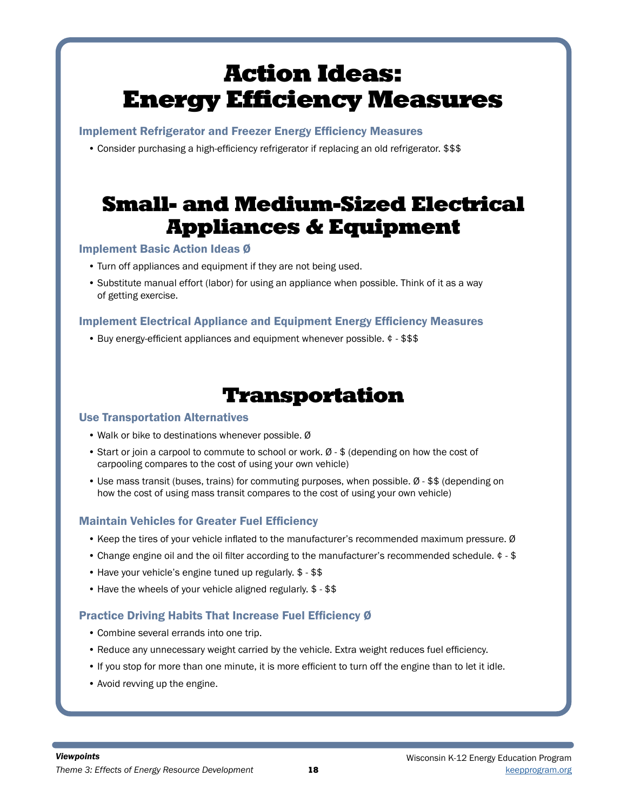Implement Refrigerator and Freezer Energy Efficiency Measures

• Consider purchasing a high-efficiency refrigerator if replacing an old refrigerator. \$\$\$

## Small- and Medium-Sized Electrical Appliances & Equipment

### Implement Basic Action Ideas Ø

- Turn off appliances and equipment if they are not being used.
- Substitute manual effort (labor) for using an appliance when possible. Think of it as a way of getting exercise.

### Implement Electrical Appliance and Equipment Energy Efficiency Measures

• Buy energy-efficient appliances and equipment whenever possible. ¢ - \$\$\$

## Transportation

#### Use Transportation Alternatives

- Walk or bike to destinations whenever possible. Ø
- Start or join a carpool to commute to school or work. Ø \$ (depending on how the cost of carpooling compares to the cost of using your own vehicle)
- Use mass transit (buses, trains) for commuting purposes, when possible. Ø \$\$ (depending on how the cost of using mass transit compares to the cost of using your own vehicle)

#### Maintain Vehicles for Greater Fuel Efficiency

- Keep the tires of your vehicle inflated to the manufacturer's recommended maximum pressure. Ø
- Change engine oil and the oil filter according to the manufacturer's recommended schedule. ¢ \$
- Have your vehicle's engine tuned up regularly. \$ \$\$
- Have the wheels of your vehicle aligned regularly. \$ \$\$

### Practice Driving Habits That Increase Fuel Efficiency Ø

- Combine several errands into one trip.
- Reduce any unnecessary weight carried by the vehicle. Extra weight reduces fuel efficiency.
- If you stop for more than one minute, it is more efficient to turn off the engine than to let it idle.
- Avoid revving up the engine.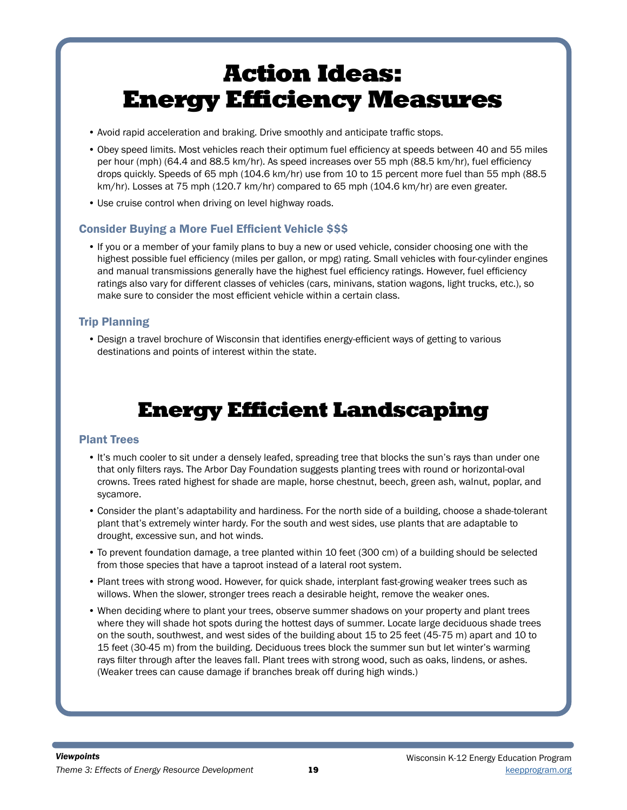- Avoid rapid acceleration and braking. Drive smoothly and anticipate traffic stops.
- Obey speed limits. Most vehicles reach their optimum fuel efficiency at speeds between 40 and 55 miles per hour (mph) (64.4 and 88.5 km/hr). As speed increases over 55 mph (88.5 km/hr), fuel efficiency drops quickly. Speeds of 65 mph (104.6 km/hr) use from 10 to 15 percent more fuel than 55 mph (88.5 km/hr). Losses at 75 mph (120.7 km/hr) compared to 65 mph (104.6 km/hr) are even greater.
- Use cruise control when driving on level highway roads.

#### Consider Buying a More Fuel Efficient Vehicle \$\$\$

• If you or a member of your family plans to buy a new or used vehicle, consider choosing one with the highest possible fuel efficiency (miles per gallon, or mpg) rating. Small vehicles with four-cylinder engines and manual transmissions generally have the highest fuel efficiency ratings. However, fuel efficiency ratings also vary for different classes of vehicles (cars, minivans, station wagons, light trucks, etc.), so make sure to consider the most efficient vehicle within a certain class.

### Trip Planning

• Design a travel brochure of Wisconsin that identifies energy-efficient ways of getting to various destinations and points of interest within the state.

## Energy Efficient Landscaping

#### Plant Trees

- It's much cooler to sit under a densely leafed, spreading tree that blocks the sun's rays than under one that only filters rays. The Arbor Day Foundation suggests planting trees with round or horizontal-oval crowns. Trees rated highest for shade are maple, horse chestnut, beech, green ash, walnut, poplar, and sycamore.
- Consider the plant's adaptability and hardiness. For the north side of a building, choose a shade-tolerant plant that's extremely winter hardy. For the south and west sides, use plants that are adaptable to drought, excessive sun, and hot winds.
- To prevent foundation damage, a tree planted within 10 feet (300 cm) of a building should be selected from those species that have a taproot instead of a lateral root system.
- Plant trees with strong wood. However, for quick shade, interplant fast-growing weaker trees such as willows. When the slower, stronger trees reach a desirable height, remove the weaker ones.
- When deciding where to plant your trees, observe summer shadows on your property and plant trees where they will shade hot spots during the hottest days of summer. Locate large deciduous shade trees on the south, southwest, and west sides of the building about 15 to 25 feet (45-75 m) apart and 10 to 15 feet (30-45 m) from the building. Deciduous trees block the summer sun but let winter's warming rays filter through after the leaves fall. Plant trees with strong wood, such as oaks, lindens, or ashes. (Weaker trees can cause damage if branches break off during high winds.)